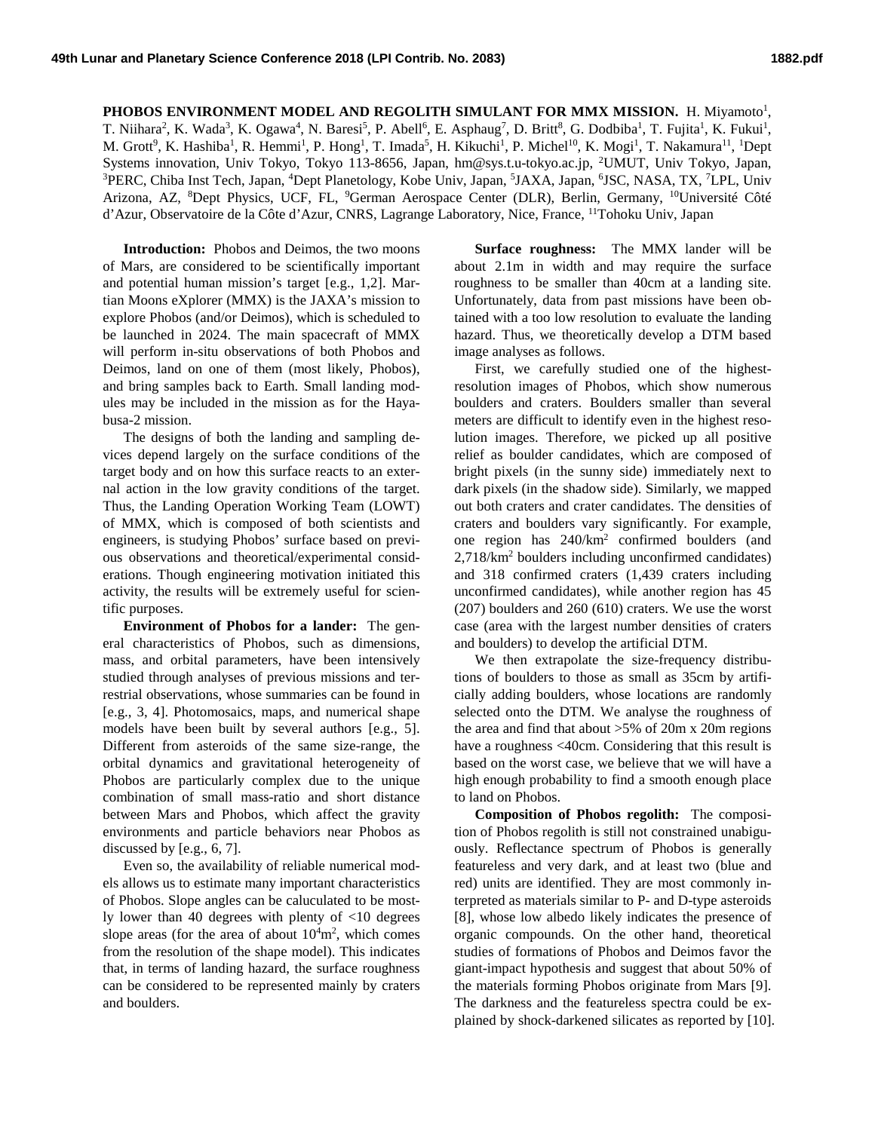**PHOBOS ENVIRONMENT MODEL AND REGOLITH SIMULANT FOR MMX MISSION.** H. Miyamoto<sup>1</sup>, T. Niihara<sup>2</sup>, K. Wada<sup>3</sup>, K. Ogawa<sup>4</sup>, N. Baresi<sup>5</sup>, P. Abell<sup>6</sup>, E. Asphaug<sup>7</sup>, D. Britt<sup>8</sup>, G. Dodbiba<sup>1</sup>, T. Fujita<sup>1</sup>, K. Fukui<sup>1</sup>, M. Grott<sup>9</sup>, K. Hashiba<sup>1</sup>, R. Hemmi<sup>1</sup>, P. Hong<sup>1</sup>, T. Imada<sup>5</sup>, H. Kikuchi<sup>1</sup>, P. Michel<sup>10</sup>, K. Mogi<sup>1</sup>, T. Nakamura<sup>11</sup>, <sup>1</sup>Dept Systems innovation, Univ Tokyo, Tokyo 113-8656, Japan, hm@sys.t.u-tokyo.ac.jp, <sup>2</sup>UMUT, Univ Tokyo, Japan,<br><sup>3</sup>PERC Chiba Inst Tech Japan. <sup>4</sup>Dent Planetology, Kobe Univ, Japan. <sup>5</sup>LAXA, Japan. <sup>6</sup>ISC NASA, TX. <sup>7</sup>I PL Univ PERC, Chiba Inst Tech, Japan, <sup>4</sup>Dept Planetology, Kobe Univ, Japan, <sup>5</sup>JAXA, Japan, <sup>6</sup>JSC, NASA, TX, <sup>7</sup>LPL, Univ Arizona, AZ, <sup>8</sup>Dept Physics, UCF, FL, <sup>9</sup>German Aerospace Center (DLR), Berlin, Germany, <sup>10</sup>Université Côté d'Azur, Observatoire de la Côte d'Azur, CNRS, Lagrange Laboratory, Nice, France, 11Tohoku Univ, Japan

**Introduction:** Phobos and Deimos, the two moons of Mars, are considered to be scientifically important and potential human mission's target [e.g., 1,2]. Martian Moons eXplorer (MMX) is the JAXA's mission to explore Phobos (and/or Deimos), which is scheduled to be launched in 2024. The main spacecraft of MMX will perform in-situ observations of both Phobos and Deimos, land on one of them (most likely, Phobos), and bring samples back to Earth. Small landing modules may be included in the mission as for the Hayabusa-2 mission.

The designs of both the landing and sampling devices depend largely on the surface conditions of the target body and on how this surface reacts to an external action in the low gravity conditions of the target. Thus, the Landing Operation Working Team (LOWT) of MMX, which is composed of both scientists and engineers, is studying Phobos' surface based on previous observations and theoretical/experimental considerations. Though engineering motivation initiated this activity, the results will be extremely useful for scientific purposes.

**Environment of Phobos for a lander:** The general characteristics of Phobos, such as dimensions, mass, and orbital parameters, have been intensively studied through analyses of previous missions and terrestrial observations, whose summaries can be found in [e.g., 3, 4]. Photomosaics, maps, and numerical shape models have been built by several authors [e.g., 5]. Different from asteroids of the same size-range, the orbital dynamics and gravitational heterogeneity of Phobos are particularly complex due to the unique combination of small mass-ratio and short distance between Mars and Phobos, which affect the gravity environments and particle behaviors near Phobos as discussed by [e.g., 6, 7].

Even so, the availability of reliable numerical models allows us to estimate many important characteristics of Phobos. Slope angles can be caluculated to be mostly lower than 40 degrees with plenty of <10 degrees slope areas (for the area of about  $10<sup>4</sup>m<sup>2</sup>$ , which comes from the resolution of the shape model). This indicates that, in terms of landing hazard, the surface roughness can be considered to be represented mainly by craters and boulders.

**Surface roughness:** The MMX lander will be about 2.1m in width and may require the surface roughness to be smaller than 40cm at a landing site. Unfortunately, data from past missions have been obtained with a too low resolution to evaluate the landing hazard. Thus, we theoretically develop a DTM based image analyses as follows.

First, we carefully studied one of the highestresolution images of Phobos, which show numerous boulders and craters. Boulders smaller than several meters are difficult to identify even in the highest resolution images. Therefore, we picked up all positive relief as boulder candidates, which are composed of bright pixels (in the sunny side) immediately next to dark pixels (in the shadow side). Similarly, we mapped out both craters and crater candidates. The densities of craters and boulders vary significantly. For example, one region has 240/km2 confirmed boulders (and 2,718/km2 boulders including unconfirmed candidates) and 318 confirmed craters (1,439 craters including unconfirmed candidates), while another region has 45 (207) boulders and 260 (610) craters. We use the worst case (area with the largest number densities of craters and boulders) to develop the artificial DTM.

We then extrapolate the size-frequency distributions of boulders to those as small as 35cm by artificially adding boulders, whose locations are randomly selected onto the DTM. We analyse the roughness of the area and find that about >5% of 20m x 20m regions have a roughness <40cm. Considering that this result is based on the worst case, we believe that we will have a high enough probability to find a smooth enough place to land on Phobos.

**Composition of Phobos regolith:** The composition of Phobos regolith is still not constrained unabiguously. Reflectance spectrum of Phobos is generally featureless and very dark, and at least two (blue and red) units are identified. They are most commonly interpreted as materials similar to P- and D-type asteroids [8], whose low albedo likely indicates the presence of organic compounds. On the other hand, theoretical studies of formations of Phobos and Deimos favor the giant-impact hypothesis and suggest that about 50% of the materials forming Phobos originate from Mars [9]. The darkness and the featureless spectra could be explained by shock-darkened silicates as reported by [10].